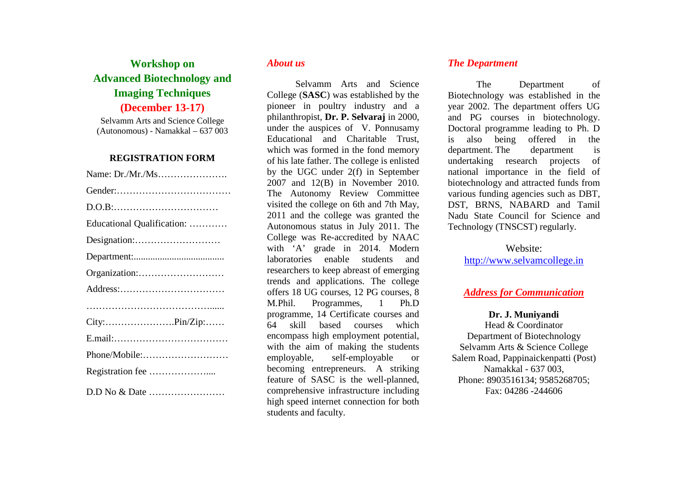# **Workshop on Advanced Biotechnology and Imaging Techniques (December 13-17)**

Selvamm Arts and Science College (Autonomous) - Namakkal – 637 003

#### **REGISTRATION FORM**

| Educational Qualification: |
|----------------------------|
|                            |
|                            |
|                            |
|                            |
|                            |
|                            |
|                            |
| Phone/Mobile:              |
|                            |
|                            |
|                            |

## *About us*

Selvamm Arts and Science College (**SASC**) was established by the pioneer in poultry industry and a philanthropist, **Dr. P. Selvaraj** in 2000, under the auspices of V. Ponnusamy Educational and Charitable Trust, which was formed in the fond memory of his late father. The college is enlisted by the UGC under 2(f) in September 2007 and 12(B) in November 2010. The Autonomy Review Committee visited the college on 6th and 7th May, 2011 and the college was granted the Autonomous status in July 2011. The College was Re-accredited by NAAC with 'A' grade in 2014. Modern laboratories enable students and researchers to keep abreast of emerging trends and applications. The college offers 18 UG courses, 12 PG courses, 8 M.Phil. Programmes, 1 Ph.D programme, 14 Certificate courses and 64 skill based courses which encompass high employment potential, with the aim of making the students employable, self-employable or becoming entrepreneurs. A striking feature of SASC is the well-planned, comprehensive infrastructure including high speed internet connection for both students and faculty.

## *The Department*

The Department of Biotechnology was established in the year 2002. The department offers UG and PG courses in biotechnology. Doctoral programme leading to Ph. D is also being offered in the department. The department is undertaking research projects of national importance in the field of biotechnology and attracted funds from various funding agencies such as DBT, DST, BRNS, NABARD and Tamil Nadu State Council for Science and Technology (TNSCST) regularly.

# Website:

http://www.selvamcollege.in

## *Address for Communication*

**Dr. J. Muniyandi** 

 Head & Coordinator Department of Biotechnology Selvamm Arts & Science College Salem Road, Pappinaickenpatti (Post) Namakkal - 637 003, Phone: 8903516134; 9585268705; Fax: 04286 -244606